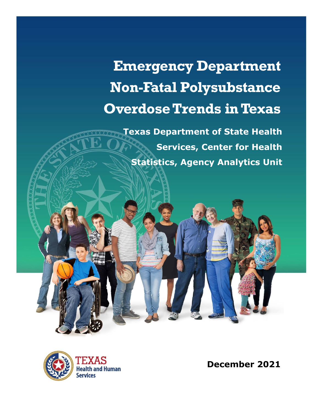# **Emergency Department Non-Fatal Polysubstance Overdose Trends in Texas**

**Texas Department of State Health Services, Center for Health Statistics, Agency Analytics Unit**



**December 2021**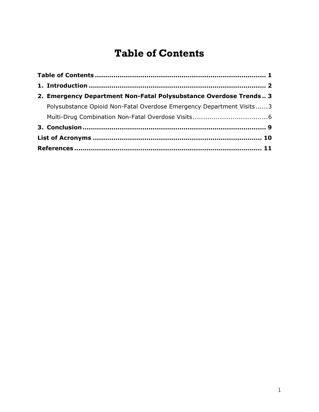# **Table of Contents**

<span id="page-1-0"></span>

| 2. Emergency Department Non-Fatal Polysubstance Overdose Trends 3    |
|----------------------------------------------------------------------|
| Polysubstance Opioid Non-Fatal Overdose Emergency Department Visits3 |
|                                                                      |
|                                                                      |
|                                                                      |
|                                                                      |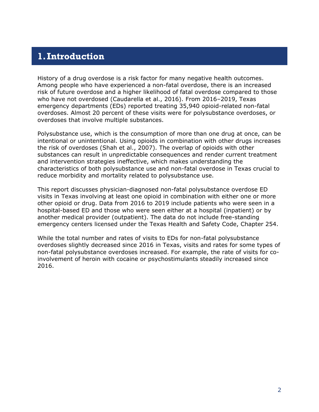## <span id="page-2-0"></span>**1.Introduction**

History of a drug overdose is a risk factor for many negative health outcomes. Among people who have experienced a non-fatal overdose, there is an increased risk of future overdose and a higher likelihood of fatal overdose compared to those who have not overdosed (Caudarella et al., 2016). From 2016–2019, Texas emergency departments (EDs) reported treating 35,940 opioid-related non-fatal overdoses. Almost 20 percent of these visits were for polysubstance overdoses, or overdoses that involve multiple substances.

Polysubstance use, which is the consumption of more than one drug at once, can be intentional or unintentional. Using opioids in combination with other drugs increases the risk of overdoses (Shah et al., 2007). The overlap of opioids with other substances can result in unpredictable consequences and render current treatment and intervention strategies ineffective, which makes understanding the characteristics of both polysubstance use and non-fatal overdose in Texas crucial to reduce morbidity and mortality related to polysubstance use.

This report discusses physician-diagnosed non-fatal polysubstance overdose ED visits in Texas involving at least one opioid in combination with either one or more other opioid or drug. Data from 2016 to 2019 include patients who were seen in a hospital-based ED and those who were seen either at a hospital (inpatient) or by another medical provider (outpatient). The data do not include free-standing emergency centers licensed under the Texas Health and Safety Code, Chapter 254.

While the total number and rates of visits to EDs for non-fatal polysubstance overdoses slightly decreased since 2016 in Texas, visits and rates for some types of non-fatal polysubstance overdoses increased. For example, the rate of visits for coinvolvement of heroin with cocaine or psychostimulants steadily increased since 2016.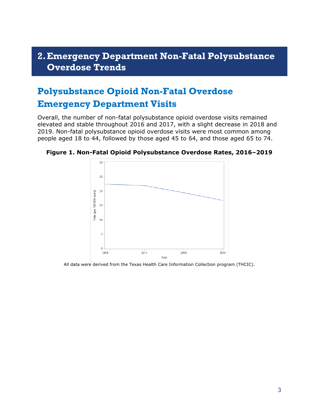#### <span id="page-3-0"></span>**2.Emergency Department Non-Fatal Polysubstance Overdose Trends**

## <span id="page-3-1"></span>**Polysubstance Opioid Non-Fatal Overdose Emergency Department Visits**

Overall, the number of non-fatal polysubstance opioid overdose visits remained elevated and stable throughout 2016 and 2017, with a slight decrease in 2018 and 2019. Non-fatal polysubstance opioid overdose visits were most common among people aged 18 to 44, followed by those aged 45 to 64, and those aged 65 to 74.



**Figure 1. Non-Fatal Opioid Polysubstance Overdose Rates, 2016–2019**

All data were derived from the Texas Health Care Information Collection program (THCIC).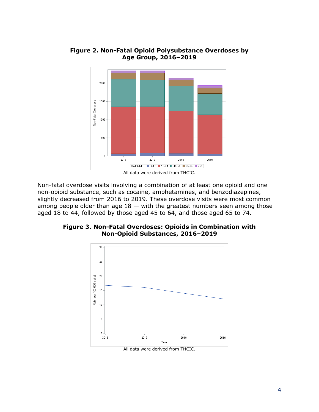

**Figure 2. Non-Fatal Opioid Polysubstance Overdoses by Age Group, 2016–2019**

Non-fatal overdose visits involving a combination of at least one opioid and one non-opioid substance, such as cocaine, amphetamines, and benzodiazepines, slightly decreased from 2016 to 2019. These overdose visits were most common among people older than age  $18 -$  with the greatest numbers seen among those aged 18 to 44, followed by those aged 45 to 64, and those aged 65 to 74.

**Figure 3. Non-Fatal Overdoses: Opioids in Combination with Non-Opioid Substances, 2016–2019**

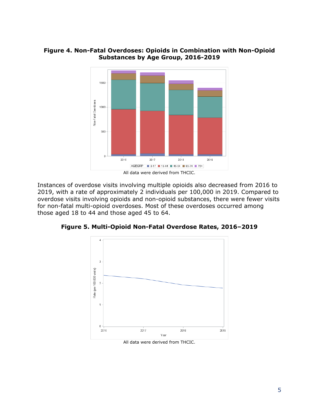#### **Figure 4. Non-Fatal Overdoses: Opioids in Combination with Non-Opioid Substances by Age Group, 2016-2019**



Instances of overdose visits involving multiple opioids also decreased from 2016 to 2019, with a rate of approximately 2 individuals per 100,000 in 2019. Compared to overdose visits involving opioids and non-opioid substances, there were fewer visits for non-fatal multi-opioid overdoses. Most of these overdoses occurred among those aged 18 to 44 and those aged 45 to 64.





All data were derived from THCIC.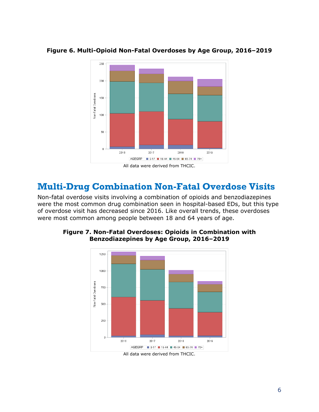

**Figure 6. Multi-Opioid Non-Fatal Overdoses by Age Group, 2016–2019**

## <span id="page-6-0"></span>**Multi-Drug Combination Non-Fatal Overdose Visits**

Non-fatal overdose visits involving a combination of opioids and benzodiazepines were the most common drug combination seen in hospital-based EDs, but this type of overdose visit has decreased since 2016. Like overall trends, these overdoses were most common among people between 18 and 64 years of age.



**Figure 7. Non-Fatal Overdoses: Opioids in Combination with Benzodiazepines by Age Group, 2016–2019**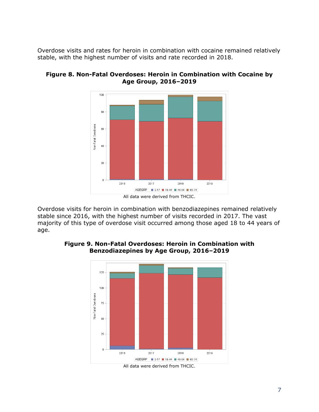Overdose visits and rates for heroin in combination with cocaine remained relatively stable, with the highest number of visits and rate recorded in 2018.



**Figure 8. Non-Fatal Overdoses: Heroin in Combination with Cocaine by Age Group, 2016–2019**

Overdose visits for heroin in combination with benzodiazepines remained relatively stable since 2016, with the highest number of visits recorded in 2017. The vast majority of this type of overdose visit occurred among those aged 18 to 44 years of age.



#### **Figure 9. Non-Fatal Overdoses: Heroin in Combination with Benzodiazepines by Age Group, 2016–2019**

All data were derived from THCIC.

All data were derived from THCIC.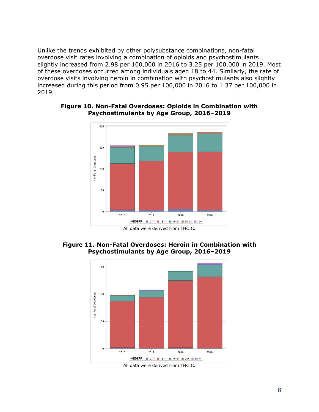Unlike the trends exhibited by other polysubstance combinations, non-fatal overdose visit rates involving a combination of opioids and psychostimulants slightly increased from 2.98 per 100,000 in 2016 to 3.25 per 100,000 in 2019. Most of these overdoses occurred among individuals aged 18 to 44. Similarly, the rate of overdose visits involving heroin in combination with psychostimulants also slightly increased during this period from 0.95 per 100,000 in 2016 to 1.37 per 100,000 in 2019.



#### **Figure 10. Non-Fatal Overdoses: Opioids in Combination with Psychostimulants by Age Group, 2016–2019**

**Figure 11. Non-Fatal Overdoses: Heroin in Combination with Psychostimulants by Age Group, 2016–2019**

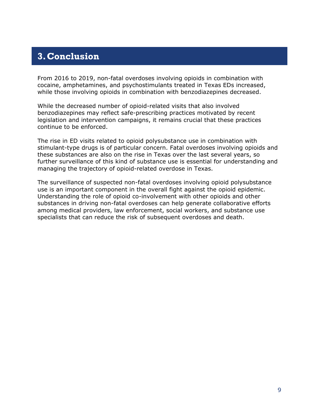## <span id="page-9-0"></span>**3.Conclusion**

From 2016 to 2019, non-fatal overdoses involving opioids in combination with cocaine, amphetamines, and psychostimulants treated in Texas EDs increased, while those involving opioids in combination with benzodiazepines decreased.

While the decreased number of opioid-related visits that also involved benzodiazepines may reflect safe-prescribing practices motivated by recent legislation and intervention campaigns, it remains crucial that these practices continue to be enforced.

The rise in ED visits related to opioid polysubstance use in combination with stimulant-type drugs is of particular concern. Fatal overdoses involving opioids and these substances are also on the rise in Texas over the last several years, so further surveillance of this kind of substance use is essential for understanding and managing the trajectory of opioid-related overdose in Texas.

The surveillance of suspected non-fatal overdoses involving opioid polysubstance use is an important component in the overall fight against the opioid epidemic. Understanding the role of opioid co-involvement with other opioids and other substances in driving non-fatal overdoses can help generate collaborative efforts among medical providers, law enforcement, social workers, and substance use specialists that can reduce the risk of subsequent overdoses and death.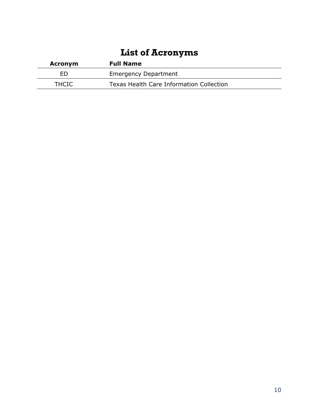# **List of Acronyms**

<span id="page-10-0"></span>

| <b>Acronym</b> | <b>Full Name</b>                         |
|----------------|------------------------------------------|
| ED             | <b>Emergency Department</b>              |
| <b>THCIC</b>   | Texas Health Care Information Collection |